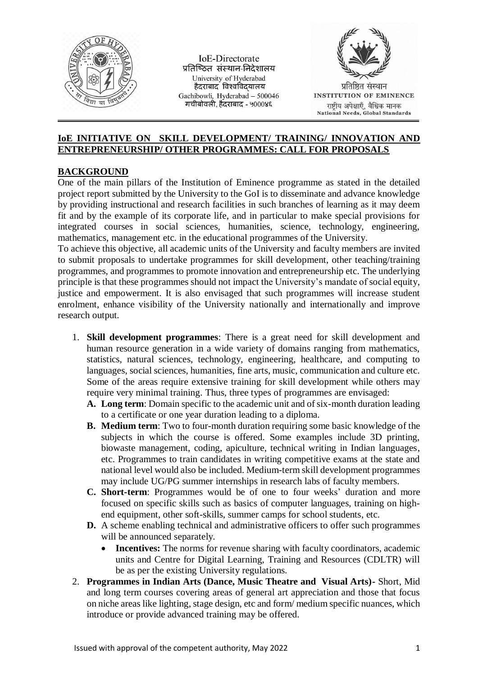

**IoE-Directorate** प्रतिष्ठित संस्थान-निदेशालय University of Hyderabad हैदराबाद विश्वविदयालय Gachibowli, Hyderabad - 500046 गचीबोवली, हैंदराबाद - ५०००४६



## **IoE INITIATIVE ON SKILL DEVELOPMENT/ TRAINING/ INNOVATION AND ENTREPRENEURSHIP/ OTHER PROGRAMMES: CALL FOR PROPOSALS**

## **BACKGROUND**

One of the main pillars of the Institution of Eminence programme as stated in the detailed project report submitted by the University to the GoI is to disseminate and advance knowledge by providing instructional and research facilities in such branches of learning as it may deem fit and by the example of its corporate life, and in particular to make special provisions for integrated courses in social sciences, humanities, science, technology, engineering, mathematics, management etc. in the educational programmes of the University.

To achieve this objective, all academic units of the University and faculty members are invited to submit proposals to undertake programmes for skill development, other teaching/training programmes, and programmes to promote innovation and entrepreneurship etc. The underlying principle is that these programmes should not impact the University's mandate of social equity, justice and empowerment. It is also envisaged that such programmes will increase student enrolment, enhance visibility of the University nationally and internationally and improve research output.

- 1. **Skill development programmes**: There is a great need for skill development and human resource generation in a wide variety of domains ranging from mathematics, statistics, natural sciences, technology, engineering, healthcare, and computing to languages, social sciences, humanities, fine arts, music, communication and culture etc. Some of the areas require extensive training for skill development while others may require very minimal training. Thus, three types of programmes are envisaged:
	- **A. Long term**: Domain specific to the academic unit and of six-month duration leading to a certificate or one year duration leading to a diploma.
	- **B. Medium term**: Two to four-month duration requiring some basic knowledge of the subjects in which the course is offered. Some examples include 3D printing, biowaste management, coding, apiculture, technical writing in Indian languages, etc. Programmes to train candidates in writing competitive exams at the state and national level would also be included. Medium-term skill development programmes may include UG/PG summer internships in research labs of faculty members.
	- **C. Short-term**: Programmes would be of one to four weeks' duration and more focused on specific skills such as basics of computer languages, training on highend equipment, other soft-skills, summer camps for school students, etc.
	- **D.** A scheme enabling technical and administrative officers to offer such programmes will be announced separately.
		- **Incentives:** The norms for revenue sharing with faculty coordinators, academic units and Centre for Digital Learning, Training and Resources (CDLTR) will be as per the existing University regulations.
- 2. **Programmes in Indian Arts (Dance, Music Theatre and Visual Arts)-** Short, Mid and long term courses covering areas of general art appreciation and those that focus on niche areas like lighting, stage design, etc and form/ medium specific nuances, which introduce or provide advanced training may be offered.